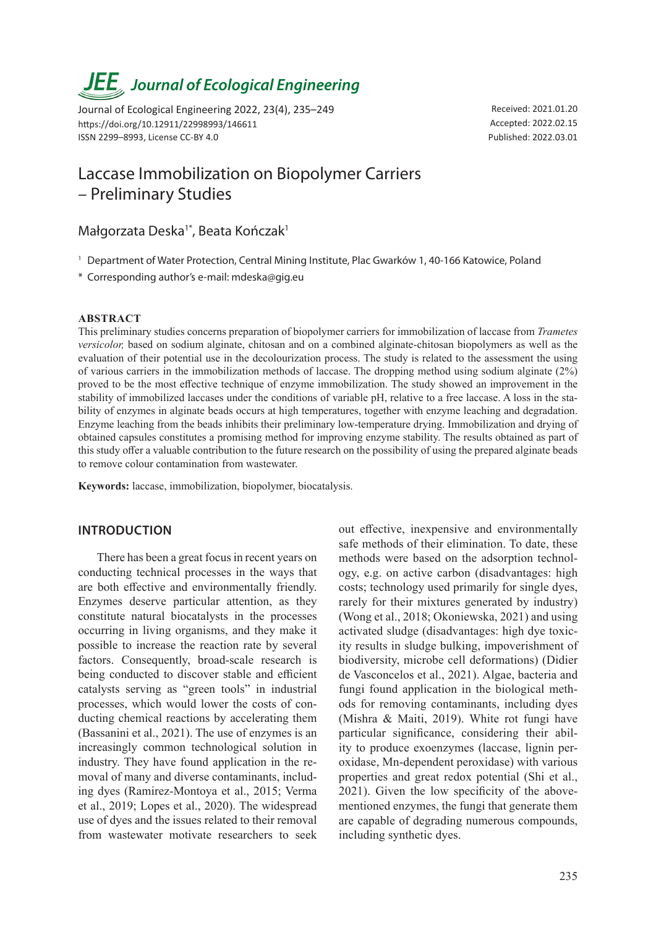# *Journal of Ecological Engineering*

Journal of Ecological Engineering 2022, 23(4), 235–249 https://doi.org/10.12911/22998993/146611 ISSN 2299–8993, License CC-BY 4.0

Received: 2021.01.20 Accepted: 2022.02.15 Published: 2022.03.01

# Laccase Immobilization on Biopolymer Carriers – Preliminary Studies

# Małgorzata Deska<sup>1\*</sup>, Beata Kończak<sup>1</sup>

- <sup>1</sup> Department of Water Protection, Central Mining Institute, Plac Gwarków 1, 40-166 Katowice, Poland
- \* Corresponding author's e-mail: mdeska@gig.eu

#### **ABSTRACT**

This preliminary studies concerns preparation of biopolymer carriers for immobilization of laccase from *Trametes versicolor,* based on sodium alginate, chitosan and on a combined alginate-chitosan biopolymers as well as the evaluation of their potential use in the decolourization process. The study is related to the assessment the using of various carriers in the immobilization methods of laccase. The dropping method using sodium alginate (2%) proved to be the most effective technique of enzyme immobilization. The study showed an improvement in the stability of immobilized laccases under the conditions of variable pH, relative to a free laccase. A loss in the stability of enzymes in alginate beads occurs at high temperatures, together with enzyme leaching and degradation. Enzyme leaching from the beads inhibits their preliminary low-temperature drying. Immobilization and drying of obtained capsules constitutes a promising method for improving enzyme stability. The results obtained as part of this study offer a valuable contribution to the future research on the possibility of using the prepared alginate beads to remove colour contamination from wastewater.

**Keywords:** laccase, immobilization, biopolymer, biocatalysis.

# **INTRODUCTION**

There has been a great focus in recent years on conducting technical processes in the ways that are both effective and environmentally friendly. Enzymes deserve particular attention, as they constitute natural biocatalysts in the processes occurring in living organisms, and they make it possible to increase the reaction rate by several factors. Consequently, broad-scale research is being conducted to discover stable and efficient catalysts serving as "green tools" in industrial processes, which would lower the costs of conducting chemical reactions by accelerating them (Bassanini et al., 2021). The use of enzymes is an increasingly common technological solution in industry. They have found application in the removal of many and diverse contaminants, including dyes (Ramirez-Montoya et al., 2015; Verma et al., 2019; Lopes et al., 2020). The widespread use of dyes and the issues related to their removal from wastewater motivate researchers to seek

out effective, inexpensive and environmentally safe methods of their elimination. To date, these methods were based on the adsorption technology, e.g. on active carbon (disadvantages: high costs; technology used primarily for single dyes, rarely for their mixtures generated by industry) (Wong et al., 2018; Okoniewska, 2021) and using activated sludge (disadvantages: high dye toxicity results in sludge bulking, impoverishment of biodiversity, microbe cell deformations) (Didier de Vasconcelos et al., 2021). Algae, bacteria and fungi found application in the biological methods for removing contaminants, including dyes (Mishra & Maiti, 2019). White rot fungi have particular significance, considering their ability to produce exoenzymes (laccase, lignin peroxidase, Mn-dependent peroxidase) with various properties and great redox potential (Shi et al., 2021). Given the low specificity of the abovementioned enzymes, the fungi that generate them are capable of degrading numerous compounds, including synthetic dyes.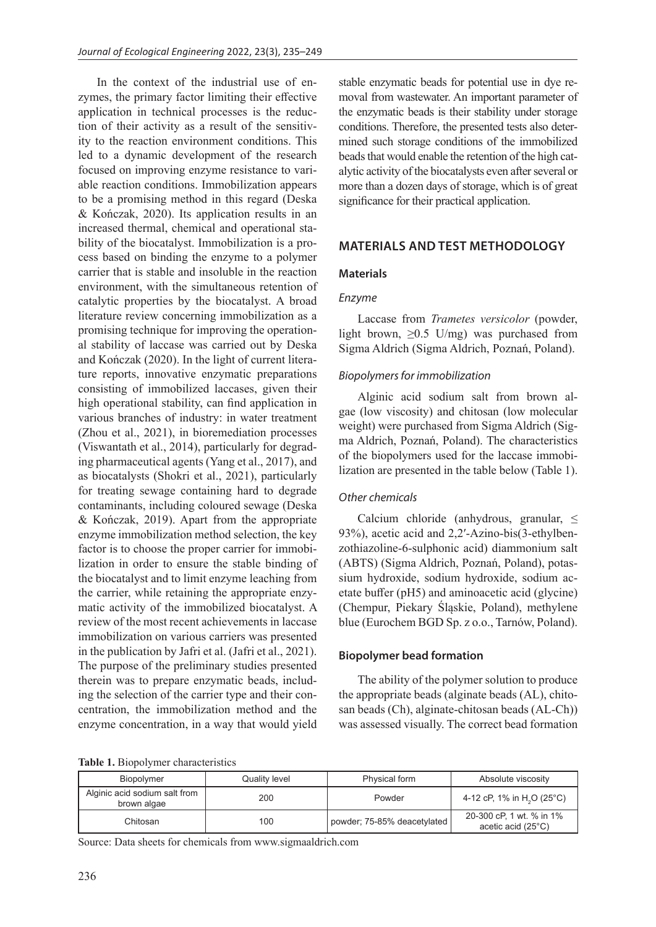In the context of the industrial use of enzymes, the primary factor limiting their effective application in technical processes is the reduction of their activity as a result of the sensitivity to the reaction environment conditions. This led to a dynamic development of the research focused on improving enzyme resistance to variable reaction conditions. Immobilization appears to be a promising method in this regard (Deska & Kończak, 2020). Its application results in an increased thermal, chemical and operational stability of the biocatalyst. Immobilization is a process based on binding the enzyme to a polymer carrier that is stable and insoluble in the reaction environment, with the simultaneous retention of catalytic properties by the biocatalyst. A broad literature review concerning immobilization as a promising technique for improving the operational stability of laccase was carried out by Deska and Kończak (2020). In the light of current literature reports, innovative enzymatic preparations consisting of immobilized laccases, given their high operational stability, can find application in various branches of industry: in water treatment (Zhou et al., 2021), in bioremediation processes (Viswantath et al., 2014), particularly for degrading pharmaceutical agents (Yang et al., 2017), and as biocatalysts (Shokri et al., 2021), particularly for treating sewage containing hard to degrade contaminants, including coloured sewage (Deska & Kończak, 2019). Apart from the appropriate enzyme immobilization method selection, the key factor is to choose the proper carrier for immobilization in order to ensure the stable binding of the biocatalyst and to limit enzyme leaching from the carrier, while retaining the appropriate enzymatic activity of the immobilized biocatalyst. A review of the most recent achievements in laccase immobilization on various carriers was presented in the publication by Jafri et al. (Jafri et al., 2021). The purpose of the preliminary studies presented therein was to prepare enzymatic beads, including the selection of the carrier type and their concentration, the immobilization method and the enzyme concentration, in a way that would yield

**Table 1.** Biopolymer characteristics

stable enzymatic beads for potential use in dye removal from wastewater. An important parameter of the enzymatic beads is their stability under storage conditions. Therefore, the presented tests also determined such storage conditions of the immobilized beads that would enable the retention of the high catalytic activity of the biocatalysts even after several or more than a dozen days of storage, which is of great significance for their practical application.

# **MATERIALS AND TEST METHODOLOGY**

# **Materials**

# *Enzyme*

Laccase from *Trametes versicolor* (powder, light brown,  $\geq 0.5$  U/mg) was purchased from Sigma Aldrich (Sigma Aldrich, Poznań, Poland).

#### *Biopolymers for immobilization*

Alginic acid sodium salt from brown algae (low viscosity) and chitosan (low molecular weight) were purchased from Sigma Aldrich (Sigma Aldrich, Poznań, Poland). The characteristics of the biopolymers used for the laccase immobilization are presented in the table below (Table 1).

#### *Other chemicals*

Calcium chloride (anhydrous, granular,  $\leq$ 93%), acetic acid and 2,2′-Azino-bis(3-ethylbenzothiazoline-6-sulphonic acid) diammonium salt (ABTS) (Sigma Aldrich, Poznań, Poland), potassium hydroxide, sodium hydroxide, sodium acetate buffer (pH5) and aminoacetic acid (glycine) (Chempur, Piekary Śląskie, Poland), methylene blue (Eurochem BGD Sp. z o.o., Tarnów, Poland).

#### **Biopolymer bead formation**

The ability of the polymer solution to produce the appropriate beads (alginate beads (AL), chitosan beads (Ch), alginate-chitosan beads (AL-Ch)) was assessed visually. The correct bead formation

| Biopolymer                                   | <b>Quality level</b> | Physical form               | Absolute viscosity                             |
|----------------------------------------------|----------------------|-----------------------------|------------------------------------------------|
| Alginic acid sodium salt from<br>brown algae | 200                  | Powder                      | 4-12 cP, 1% in H <sub>2</sub> O (25°C)         |
| Chitosan                                     | 100                  | powder; 75-85% deacetylated | 20-300 cP, 1 wt. % in 1%<br>acetic acid (25°C) |

Source: Data sheets for chemicals from www.sigmaaldrich.com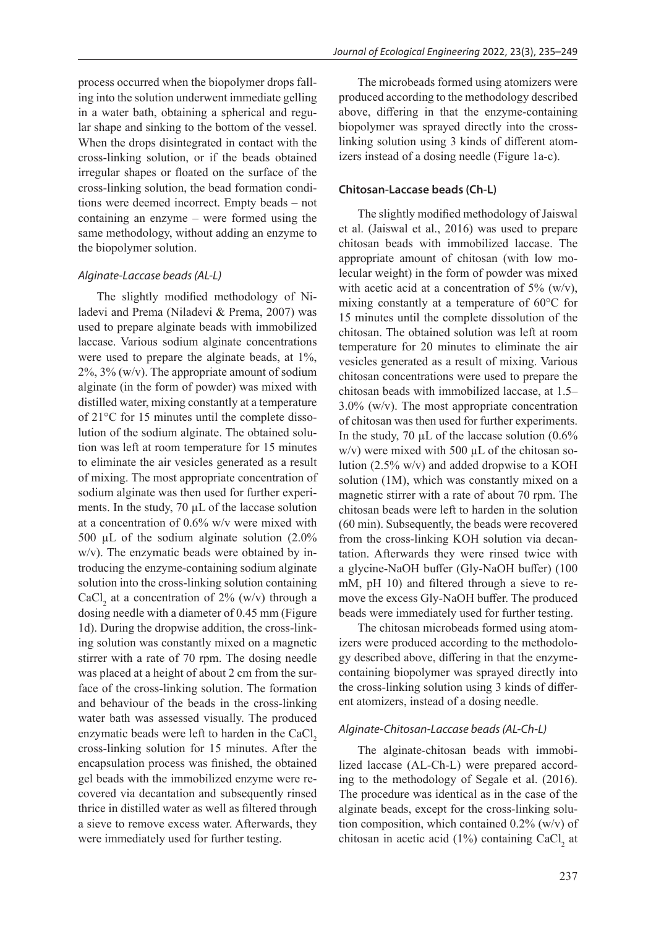process occurred when the biopolymer drops falling into the solution underwent immediate gelling in a water bath, obtaining a spherical and regular shape and sinking to the bottom of the vessel. When the drops disintegrated in contact with the cross-linking solution, or if the beads obtained irregular shapes or floated on the surface of the cross-linking solution, the bead formation conditions were deemed incorrect. Empty beads – not containing an enzyme – were formed using the same methodology, without adding an enzyme to the biopolymer solution.

#### *Alginate-Laccase beads (AL-L)*

The slightly modified methodology of Niladevi and Prema (Niladevi & Prema, 2007) was used to prepare alginate beads with immobilized laccase. Various sodium alginate concentrations were used to prepare the alginate beads, at 1%,  $2\%$ ,  $3\%$  (w/v). The appropriate amount of sodium alginate (in the form of powder) was mixed with distilled water, mixing constantly at a temperature of 21°C for 15 minutes until the complete dissolution of the sodium alginate. The obtained solution was left at room temperature for 15 minutes to eliminate the air vesicles generated as a result of mixing. The most appropriate concentration of sodium alginate was then used for further experiments. In the study, 70 µL of the laccase solution at a concentration of 0.6% w/v were mixed with 500  $\mu$ L of the sodium alginate solution (2.0%) w/v). The enzymatic beads were obtained by introducing the enzyme-containing sodium alginate solution into the cross-linking solution containing CaCl<sub>2</sub> at a concentration of 2% (w/v) through a dosing needle with a diameter of 0.45 mm (Figure 1d). During the dropwise addition, the cross-linking solution was constantly mixed on a magnetic stirrer with a rate of 70 rpm. The dosing needle was placed at a height of about 2 cm from the surface of the cross-linking solution. The formation and behaviour of the beads in the cross-linking water bath was assessed visually. The produced enzymatic beads were left to harden in the CaCl<sub>2</sub> cross-linking solution for 15 minutes. After the encapsulation process was finished, the obtained gel beads with the immobilized enzyme were recovered via decantation and subsequently rinsed thrice in distilled water as well as filtered through a sieve to remove excess water. Afterwards, they were immediately used for further testing.

The microbeads formed using atomizers were produced according to the methodology described above, differing in that the enzyme-containing biopolymer was sprayed directly into the crosslinking solution using 3 kinds of different atomizers instead of a dosing needle (Figure 1a-c).

#### **Chitosan-Laccase beads (Ch-L)**

The slightly modified methodology of Jaiswal et al. (Jaiswal et al., 2016) was used to prepare chitosan beads with immobilized laccase. The appropriate amount of chitosan (with low molecular weight) in the form of powder was mixed with acetic acid at a concentration of  $5\%$  (w/v), mixing constantly at a temperature of 60°C for 15 minutes until the complete dissolution of the chitosan. The obtained solution was left at room temperature for 20 minutes to eliminate the air vesicles generated as a result of mixing. Various chitosan concentrations were used to prepare the chitosan beads with immobilized laccase, at 1.5– 3.0% (w/v). The most appropriate concentration of chitosan was then used for further experiments. In the study, 70  $\mu$ L of the laccase solution (0.6%  $w/v$ ) were mixed with 500  $\mu$ L of the chitosan solution (2.5% w/v) and added dropwise to a KOH solution (1M), which was constantly mixed on a magnetic stirrer with a rate of about 70 rpm. The chitosan beads were left to harden in the solution (60 min). Subsequently, the beads were recovered from the cross-linking KOH solution via decantation. Afterwards they were rinsed twice with a glycine-NaOH buffer (Gly-NaOH buffer) (100 mM, pH 10) and filtered through a sieve to remove the excess Gly-NaOH buffer. The produced beads were immediately used for further testing.

The chitosan microbeads formed using atomizers were produced according to the methodology described above, differing in that the enzymecontaining biopolymer was sprayed directly into the cross-linking solution using 3 kinds of different atomizers, instead of a dosing needle.

#### *Alginate-Chitosan-Laccase beads (AL-Ch-L)*

The alginate-chitosan beads with immobilized laccase (AL-Ch-L) were prepared according to the methodology of Segale et al. (2016). The procedure was identical as in the case of the alginate beads, except for the cross-linking solution composition, which contained 0.2% (w/v) of chitosan in acetic acid (1%) containing  $CaCl<sub>2</sub>$  at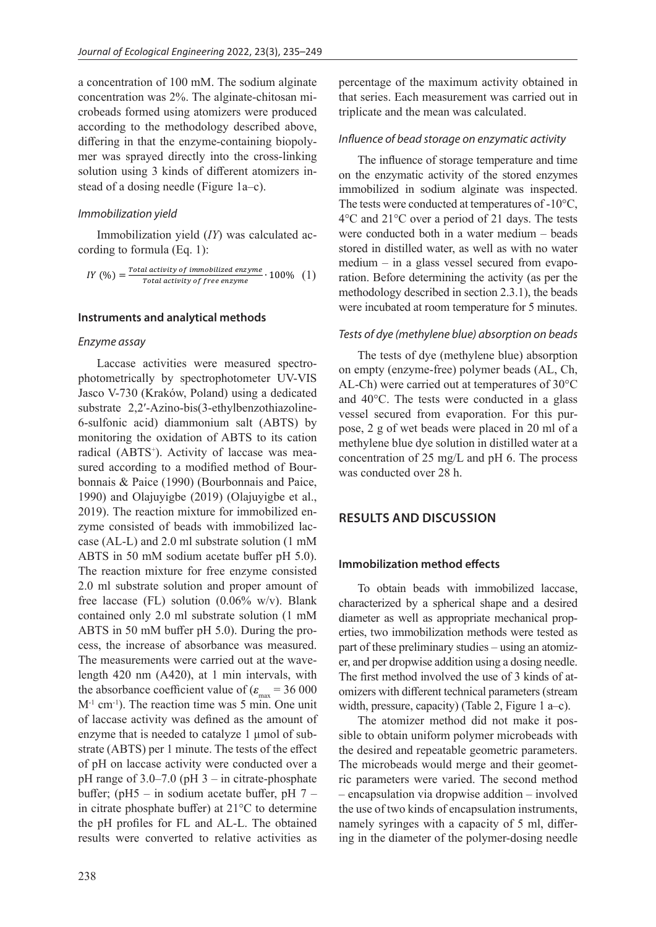a concentration of 100 mM. The sodium alginate concentration was 2%. The alginate-chitosan microbeads formed using atomizers were produced according to the methodology described above, differing in that the enzyme-containing biopolymer was sprayed directly into the cross-linking solution using 3 kinds of different atomizers instead of a dosing needle (Figure 1a–c).

#### *Immobilization yield*

Immobilization yield (*IY*) was calculated according to formula (Eq. 1):

$$
IY\left(\%) = \frac{Total activity of immobilized enzyme}{Total activity of free enzyme} \cdot 100\% \quad (1)
$$

#### **Instruments and analytical methods**

#### *Enzyme assay*

Laccase activities were measured spectrophotometrically by spectrophotometer UV-VIS Jasco V-730 (Kraków, Poland) using a dedicated substrate 2,2′-Azino-bis(3-ethylbenzothiazoline-6-sulfonic acid) diammonium salt (ABTS) by monitoring the oxidation of ABTS to its cation radical (ABTS<sup>+</sup>). Activity of laccase was measured according to a modified method of Bourbonnais & Paice (1990) (Bourbonnais and Paice, 1990) and Olajuyigbe (2019) (Olajuyigbe et al., 2019). The reaction mixture for immobilized enzyme consisted of beads with immobilized laccase (AL-L) and 2.0 ml substrate solution (1 mM ABTS in 50 mM sodium acetate buffer pH 5.0). The reaction mixture for free enzyme consisted 2.0 ml substrate solution and proper amount of free laccase (FL) solution  $(0.06\% \text{ w/v})$ . Blank contained only 2.0 ml substrate solution (1 mM ABTS in 50 mM buffer pH 5.0). During the process, the increase of absorbance was measured. The measurements were carried out at the wavelength 420 nm (A420), at 1 min intervals, with the absorbance coefficient value of  $(\varepsilon_{\text{max}} = 36\,000$ M-1 cm-1). The reaction time was 5 min. One unit of laccase activity was defined as the amount of enzyme that is needed to catalyze 1 µmol of substrate (ABTS) per 1 minute. The tests of the effect of pH on laccase activity were conducted over a pH range of  $3.0-7.0$  (pH  $3-$  in citrate-phosphate buffer; (pH5 – in sodium acetate buffer, pH 7 – in citrate phosphate buffer) at 21°C to determine the pH profiles for FL and AL-L. The obtained results were converted to relative activities as

percentage of the maximum activity obtained in that series. Each measurement was carried out in triplicate and the mean was calculated.

## *Influence of bead storage on enzymatic activity*

The influence of storage temperature and time on the enzymatic activity of the stored enzymes immobilized in sodium alginate was inspected. The tests were conducted at temperatures of -10°C, 4°C and 21°C over a period of 21 days. The tests were conducted both in a water medium – beads stored in distilled water, as well as with no water medium – in a glass vessel secured from evaporation. Before determining the activity (as per the methodology described in section 2.3.1), the beads were incubated at room temperature for 5 minutes.

#### *Tests of dye (methylene blue) absorption on beads*

The tests of dye (methylene blue) absorption on empty (enzyme-free) polymer beads (AL, Ch, AL-Ch) were carried out at temperatures of 30°C and 40°C. The tests were conducted in a glass vessel secured from evaporation. For this purpose, 2 g of wet beads were placed in 20 ml of a methylene blue dye solution in distilled water at a concentration of 25 mg/L and pH 6. The process was conducted over 28 h.

# **RESULTS AND DISCUSSION**

# **Immobilization method effects**

To obtain beads with immobilized laccase, characterized by a spherical shape and a desired diameter as well as appropriate mechanical properties, two immobilization methods were tested as part of these preliminary studies – using an atomizer, and per dropwise addition using a dosing needle. The first method involved the use of 3 kinds of atomizers with different technical parameters (stream width, pressure, capacity) (Table 2, Figure 1 a–c).

The atomizer method did not make it possible to obtain uniform polymer microbeads with the desired and repeatable geometric parameters. The microbeads would merge and their geometric parameters were varied. The second method – encapsulation via dropwise addition – involved the use of two kinds of encapsulation instruments, namely syringes with a capacity of 5 ml, differing in the diameter of the polymer-dosing needle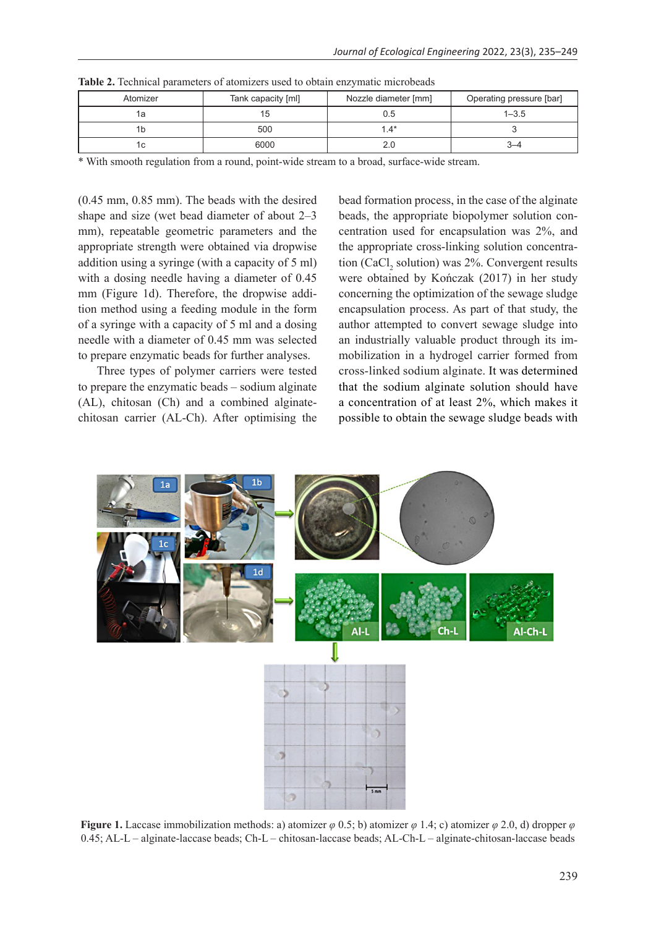| Atomizer | Tank capacity [ml] | Nozzle diameter [mm] | Operating pressure [bar] |
|----------|--------------------|----------------------|--------------------------|
|          |                    |                      | $1 - 3.5$                |
|          | 500                | 1.4*                 |                          |
|          | 6000               |                      |                          |

**Table 2.** Technical parameters of atomizers used to obtain enzymatic microbeads

\* With smooth regulation from a round, point-wide stream to a broad, surface-wide stream.

(0.45 mm, 0.85 mm). The beads with the desired shape and size (wet bead diameter of about 2–3 mm), repeatable geometric parameters and the appropriate strength were obtained via dropwise addition using a syringe (with a capacity of 5 ml) with a dosing needle having a diameter of 0.45 mm (Figure 1d). Therefore, the dropwise addition method using a feeding module in the form of a syringe with a capacity of 5 ml and a dosing needle with a diameter of 0.45 mm was selected to prepare enzymatic beads for further analyses.

Three types of polymer carriers were tested to prepare the enzymatic beads – sodium alginate (AL), chitosan (Ch) and a combined alginatechitosan carrier (AL-Ch). After optimising the

bead formation process, in the case of the alginate beads, the appropriate biopolymer solution concentration used for encapsulation was 2%, and the appropriate cross-linking solution concentration (CaCl<sub>2</sub> solution) was 2%. Convergent results were obtained by Kończak (2017) in her study concerning the optimization of the sewage sludge encapsulation process. As part of that study, the author attempted to convert sewage sludge into an industrially valuable product through its immobilization in a hydrogel carrier formed from cross-linked sodium alginate. It was determined that the sodium alginate solution should have a concentration of at least 2%, which makes it possible to obtain the sewage sludge beads with



**Figure 1.** Laccase immobilization methods: a) atomizer  $\varphi$  0.5; b) atomizer  $\varphi$  1.4; c) atomizer  $\varphi$  2.0, d) dropper  $\varphi$ 0.45; AL-L – alginate-laccase beads; Ch-L – chitosan-laccase beads; AL-Ch-L – alginate-chitosan-laccase beads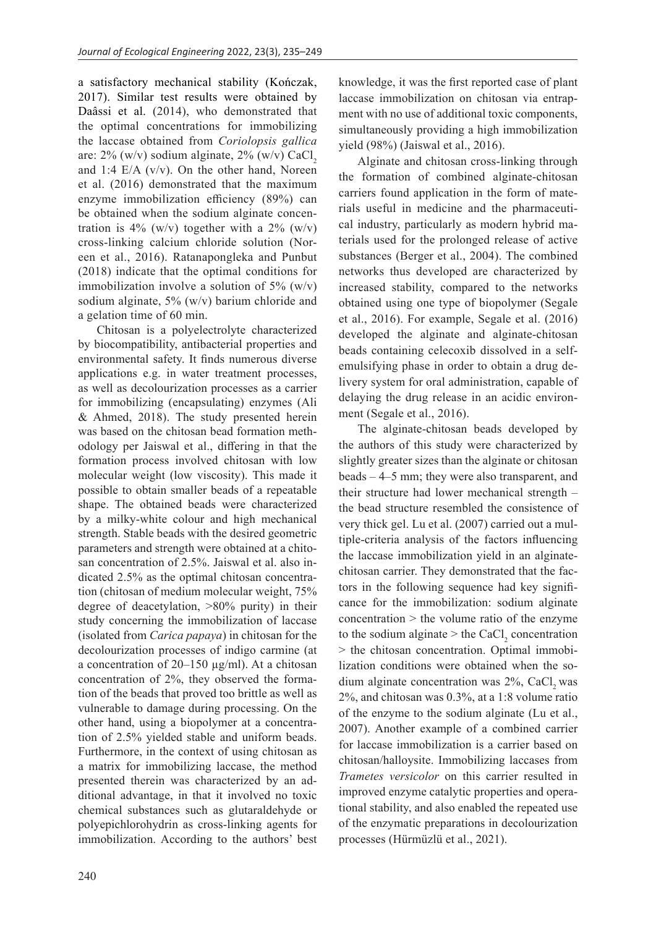a satisfactory mechanical stability (Kończak, 2017). Similar test results were obtained by Daâssi et al. (2014), who demonstrated that the optimal concentrations for immobilizing the laccase obtained from *Coriolopsis gallica* are:  $2\%$  (w/v) sodium alginate,  $2\%$  (w/v) CaCl, and 1:4  $E/A$  (v/v). On the other hand, Noreen et al. (2016) demonstrated that the maximum enzyme immobilization efficiency (89%) can be obtained when the sodium alginate concentration is 4% (w/v) together with a 2% (w/v) cross-linking calcium chloride solution (Noreen et al., 2016). Ratanapongleka and Punbut (2018) indicate that the optimal conditions for immobilization involve a solution of  $5\%$  (w/v) sodium alginate, 5% (w/v) barium chloride and a gelation time of 60 min.

Chitosan is a polyelectrolyte characterized by biocompatibility, antibacterial properties and environmental safety. It finds numerous diverse applications e.g. in water treatment processes, as well as decolourization processes as a carrier for immobilizing (encapsulating) enzymes (Ali & Ahmed, 2018). The study presented herein was based on the chitosan bead formation methodology per Jaiswal et al., differing in that the formation process involved chitosan with low molecular weight (low viscosity). This made it possible to obtain smaller beads of a repeatable shape. The obtained beads were characterized by a milky-white colour and high mechanical strength. Stable beads with the desired geometric parameters and strength were obtained at a chitosan concentration of 2.5%. Jaiswal et al. also indicated 2.5% as the optimal chitosan concentration (chitosan of medium molecular weight, 75% degree of deacetylation, >80% purity) in their study concerning the immobilization of laccase (isolated from *Carica papaya*) in chitosan for the decolourization processes of indigo carmine (at a concentration of  $20-150 \mu g/ml$ ). At a chitosan concentration of 2%, they observed the formation of the beads that proved too brittle as well as vulnerable to damage during processing. On the other hand, using a biopolymer at a concentration of 2.5% yielded stable and uniform beads. Furthermore, in the context of using chitosan as a matrix for immobilizing laccase, the method presented therein was characterized by an additional advantage, in that it involved no toxic chemical substances such as glutaraldehyde or polyepichlorohydrin as cross-linking agents for immobilization. According to the authors' best

knowledge, it was the first reported case of plant laccase immobilization on chitosan via entrapment with no use of additional toxic components, simultaneously providing a high immobilization yield (98%) (Jaiswal et al., 2016).

Alginate and chitosan cross-linking through the formation of combined alginate-chitosan carriers found application in the form of materials useful in medicine and the pharmaceutical industry, particularly as modern hybrid materials used for the prolonged release of active substances (Berger et al., 2004). The combined networks thus developed are characterized by increased stability, compared to the networks obtained using one type of biopolymer (Segale et al., 2016). For example, Segale et al. (2016) developed the alginate and alginate-chitosan beads containing celecoxib dissolved in a selfemulsifying phase in order to obtain a drug delivery system for oral administration, capable of delaying the drug release in an acidic environment (Segale et al., 2016).

The alginate-chitosan beads developed by the authors of this study were characterized by slightly greater sizes than the alginate or chitosan beads – 4–5 mm; they were also transparent, and their structure had lower mechanical strength – the bead structure resembled the consistence of very thick gel. Lu et al. (2007) carried out a multiple-criteria analysis of the factors influencing the laccase immobilization yield in an alginatechitosan carrier. They demonstrated that the factors in the following sequence had key significance for the immobilization: sodium alginate concentration > the volume ratio of the enzyme to the sodium alginate  $>$  the CaCl<sub>2</sub> concentration > the chitosan concentration. Optimal immobilization conditions were obtained when the sodium alginate concentration was  $2\%$ , CaCl<sub>2</sub> was 2%, and chitosan was 0.3%, at a 1:8 volume ratio of the enzyme to the sodium alginate (Lu et al., 2007). Another example of a combined carrier for laccase immobilization is a carrier based on chitosan/halloysite. Immobilizing laccases from *Trametes versicolor* on this carrier resulted in improved enzyme catalytic properties and operational stability, and also enabled the repeated use of the enzymatic preparations in decolourization processes (Hürmüzlü et al., 2021).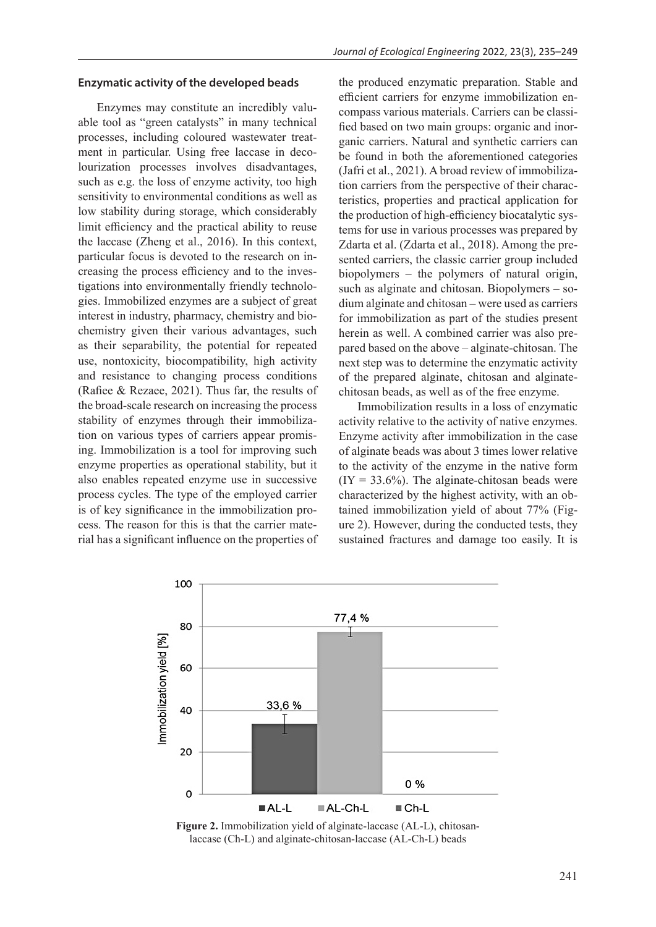#### **Enzymatic activity of the developed beads**

Enzymes may constitute an incredibly valuable tool as "green catalysts" in many technical processes, including coloured wastewater treatment in particular. Using free laccase in decolourization processes involves disadvantages, such as e.g. the loss of enzyme activity, too high sensitivity to environmental conditions as well as low stability during storage, which considerably limit efficiency and the practical ability to reuse the laccase (Zheng et al., 2016). In this context, particular focus is devoted to the research on increasing the process efficiency and to the investigations into environmentally friendly technologies. Immobilized enzymes are a subject of great interest in industry, pharmacy, chemistry and biochemistry given their various advantages, such as their separability, the potential for repeated use, nontoxicity, biocompatibility, high activity and resistance to changing process conditions (Rafiee & Rezaee, 2021). Thus far, the results of the broad-scale research on increasing the process stability of enzymes through their immobilization on various types of carriers appear promising. Immobilization is a tool for improving such enzyme properties as operational stability, but it also enables repeated enzyme use in successive process cycles. The type of the employed carrier is of key significance in the immobilization process. The reason for this is that the carrier material has a significant influence on the properties of the produced enzymatic preparation. Stable and efficient carriers for enzyme immobilization encompass various materials. Carriers can be classified based on two main groups: organic and inorganic carriers. Natural and synthetic carriers can be found in both the aforementioned categories (Jafri et al., 2021). A broad review of immobilization carriers from the perspective of their characteristics, properties and practical application for the production of high-efficiency biocatalytic systems for use in various processes was prepared by Zdarta et al. (Zdarta et al., 2018). Among the presented carriers, the classic carrier group included biopolymers – the polymers of natural origin, such as alginate and chitosan. Biopolymers – sodium alginate and chitosan – were used as carriers for immobilization as part of the studies present herein as well. A combined carrier was also prepared based on the above – alginate-chitosan. The next step was to determine the enzymatic activity of the prepared alginate, chitosan and alginatechitosan beads, as well as of the free enzyme.

Immobilization results in a loss of enzymatic activity relative to the activity of native enzymes. Enzyme activity after immobilization in the case of alginate beads was about 3 times lower relative to the activity of the enzyme in the native form  $(IV = 33.6\%)$ . The alginate-chitosan beads were characterized by the highest activity, with an obtained immobilization yield of about 77% (Figure 2). However, during the conducted tests, they sustained fractures and damage too easily. It is



**Figure 2.** Immobilization yield of alginate-laccase (AL-L), chitosanlaccase (Ch-L) and alginate-chitosan-laccase (AL-Ch-L) beads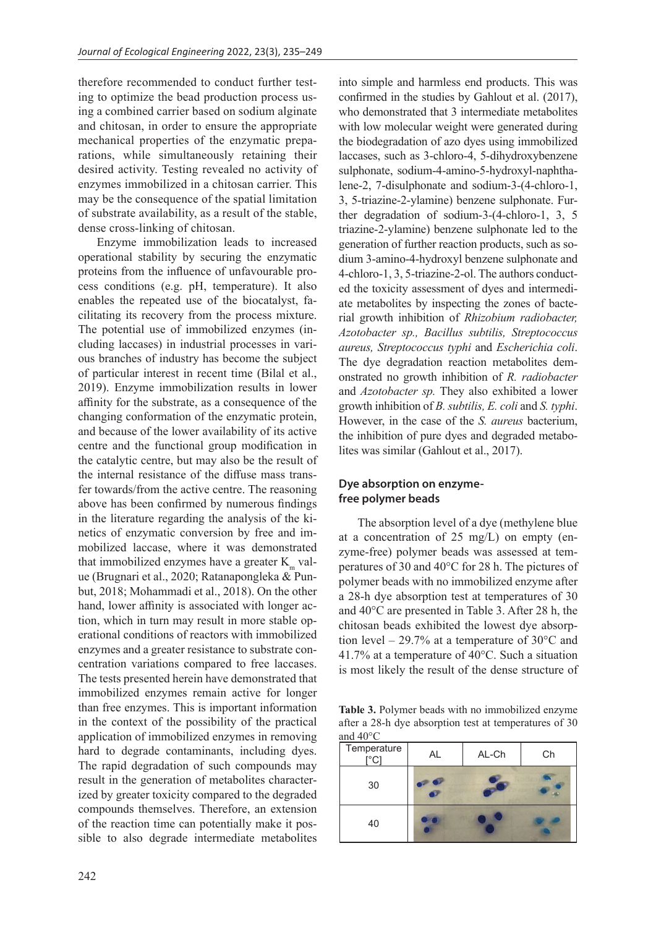therefore recommended to conduct further testing to optimize the bead production process using a combined carrier based on sodium alginate and chitosan, in order to ensure the appropriate mechanical properties of the enzymatic preparations, while simultaneously retaining their desired activity. Testing revealed no activity of enzymes immobilized in a chitosan carrier. This may be the consequence of the spatial limitation of substrate availability, as a result of the stable, dense cross-linking of chitosan.

Enzyme immobilization leads to increased operational stability by securing the enzymatic proteins from the influence of unfavourable process conditions (e.g. pH, temperature). It also enables the repeated use of the biocatalyst, facilitating its recovery from the process mixture. The potential use of immobilized enzymes (including laccases) in industrial processes in various branches of industry has become the subject of particular interest in recent time (Bilal et al., 2019). Enzyme immobilization results in lower affinity for the substrate, as a consequence of the changing conformation of the enzymatic protein, and because of the lower availability of its active centre and the functional group modification in the catalytic centre, but may also be the result of the internal resistance of the diffuse mass transfer towards/from the active centre. The reasoning above has been confirmed by numerous findings in the literature regarding the analysis of the kinetics of enzymatic conversion by free and immobilized laccase, where it was demonstrated that immobilized enzymes have a greater  $K<sub>m</sub>$  value (Brugnari et al., 2020; Ratanapongleka & Punbut, 2018; Mohammadi et al., 2018). On the other hand, lower affinity is associated with longer action, which in turn may result in more stable operational conditions of reactors with immobilized enzymes and a greater resistance to substrate concentration variations compared to free laccases. The tests presented herein have demonstrated that immobilized enzymes remain active for longer than free enzymes. This is important information in the context of the possibility of the practical application of immobilized enzymes in removing hard to degrade contaminants, including dyes. The rapid degradation of such compounds may result in the generation of metabolites characterized by greater toxicity compared to the degraded compounds themselves. Therefore, an extension of the reaction time can potentially make it possible to also degrade intermediate metabolites

confirmed in the studies by Gahlout et al. (2017), who demonstrated that 3 intermediate metabolites with low molecular weight were generated during the biodegradation of azo dyes using immobilized laccases, such as 3-chloro-4, 5-dihydroxybenzene sulphonate, sodium-4-amino-5-hydroxyl-naphthalene-2, 7-disulphonate and sodium-3-(4-chloro-1, 3, 5-triazine-2-ylamine) benzene sulphonate. Further degradation of sodium-3-(4-chloro-1, 3, 5 triazine-2-ylamine) benzene sulphonate led to the generation of further reaction products, such as sodium 3-amino-4-hydroxyl benzene sulphonate and 4-chloro-1, 3, 5-triazine-2-ol. The authors conducted the toxicity assessment of dyes and intermediate metabolites by inspecting the zones of bacterial growth inhibition of *Rhizobium radiobacter, Azotobacter sp., Bacillus subtilis, Streptococcus aureus, Streptococcus typhi* and *Escherichia coli*. The dye degradation reaction metabolites demonstrated no growth inhibition of *R. radiobacter* and *Azotobacter sp.* They also exhibited a lower growth inhibition of *B. subtilis, E. coli* and *S. typhi*. However, in the case of the *S. aureus* bacterium, the inhibition of pure dyes and degraded metabolites was similar (Gahlout et al., 2017).

into simple and harmless end products. This was

# **Dye absorption on enzymefree polymer beads**

The absorption level of a dye (methylene blue at a concentration of 25 mg/L) on empty (enzyme-free) polymer beads was assessed at temperatures of 30 and 40°C for 28 h. The pictures of polymer beads with no immobilized enzyme after a 28-h dye absorption test at temperatures of 30 and 40°C are presented in Table 3 . After 28 h, the chitosan beads exhibited the lowest dye absorption level – 29.7% at a temperature of 30°C and 41.7% at a temperature of 40°C. Such a situation is most likely the result of the dense structure of

**Table 3.** Polymer beads with no immobilized enzyme Table 3.1 organic beads with no immobilized enzyme bility of the practical after a 28-h dye absorption test at temperatures of 30 and 40°C

| Temperature<br>$\Gamma^\circ$ CI | AL | AL-Ch | Ch |
|----------------------------------|----|-------|----|
| 30                               |    |       |    |
| 40                               |    |       |    |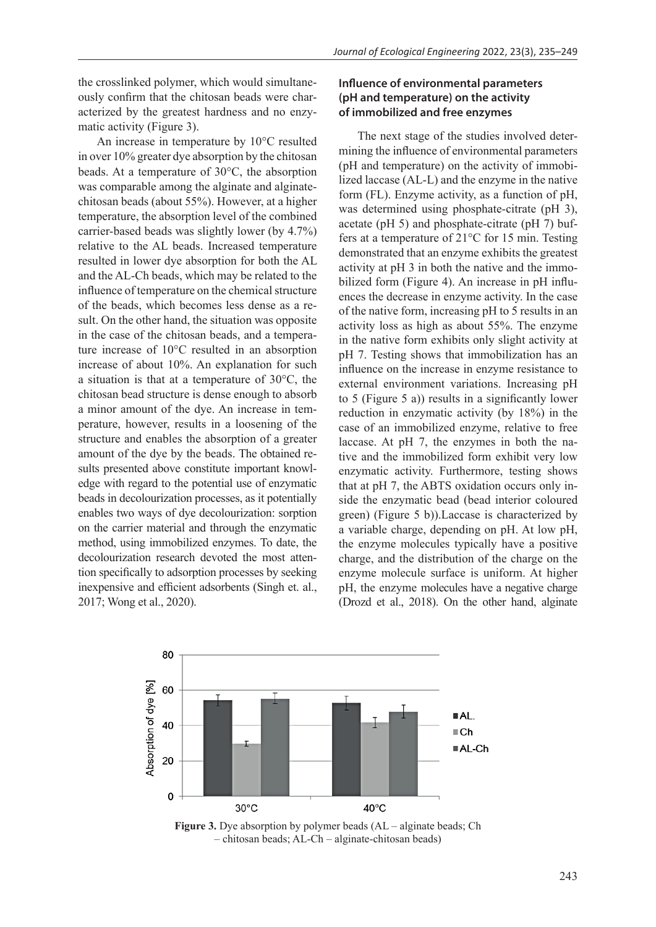the crosslinked polymer, which would simultaneously confirm that the chitosan beads were characterized by the greatest hardness and no enzymatic activity (Figure 3).

An increase in temperature by 10°C resulted in over 10% greater dye absorption by the chitosan beads. At a temperature of 30°C, the absorption was comparable among the alginate and alginatechitosan beads (about 55%). However, at a higher temperature, the absorption level of the combined carrier-based beads was slightly lower (by 4.7%) relative to the AL beads. Increased temperature resulted in lower dye absorption for both the AL and the AL-Ch beads, which may be related to the influence of temperature on the chemical structure of the beads, which becomes less dense as a result. On the other hand, the situation was opposite in the case of the chitosan beads, and a temperature increase of 10°C resulted in an absorption increase of about 10%. An explanation for such a situation is that at a temperature of 30°C, the chitosan bead structure is dense enough to absorb a minor amount of the dye. An increase in temperature, however, results in a loosening of the structure and enables the absorption of a greater amount of the dye by the beads. The obtained results presented above constitute important knowledge with regard to the potential use of enzymatic beads in decolourization processes, as it potentially enables two ways of dye decolourization: sorption on the carrier material and through the enzymatic method, using immobilized enzymes. To date, the decolourization research devoted the most attention specifically to adsorption processes by seeking inexpensive and efficient adsorbents (Singh et. al., 2017; Wong et al., 2020).

# **Influence of environmental parameters (pH and temperature) on the activity of immobilized and free enzymes**

The next stage of the studies involved determining the influence of environmental parameters (pH and temperature) on the activity of immobilized laccase (AL-L) and the enzyme in the native form (FL). Enzyme activity, as a function of pH, was determined using phosphate-citrate (pH 3), acetate (pH 5) and phosphate-citrate (pH 7) buffers at a temperature of 21°C for 15 min. Testing demonstrated that an enzyme exhibits the greatest activity at pH 3 in both the native and the immobilized form (Figure 4). An increase in pH influences the decrease in enzyme activity. In the case of the native form, increasing pH to 5 results in an activity loss as high as about 55%. The enzyme in the native form exhibits only slight activity at pH 7. Testing shows that immobilization has an influence on the increase in enzyme resistance to external environment variations. Increasing pH to 5 (Figure 5 a)) results in a significantly lower reduction in enzymatic activity (by 18%) in the case of an immobilized enzyme, relative to free laccase. At pH 7, the enzymes in both the native and the immobilized form exhibit very low enzymatic activity. Furthermore, testing shows that at pH 7, the ABTS oxidation occurs only inside the enzymatic bead (bead interior coloured green) (Figure 5 b)).Laccase is characterized by a variable charge, depending on pH. At low pH, the enzyme molecules typically have a positive charge, and the distribution of the charge on the enzyme molecule surface is uniform. At higher pH, the enzyme molecules have a negative charge (Drozd et al., 2018). On the other hand, alginate



**Figure 3.** Dye absorption by polymer beads (AL – alginate beads; Ch – chitosan beads; AL-Ch – alginate-chitosan beads)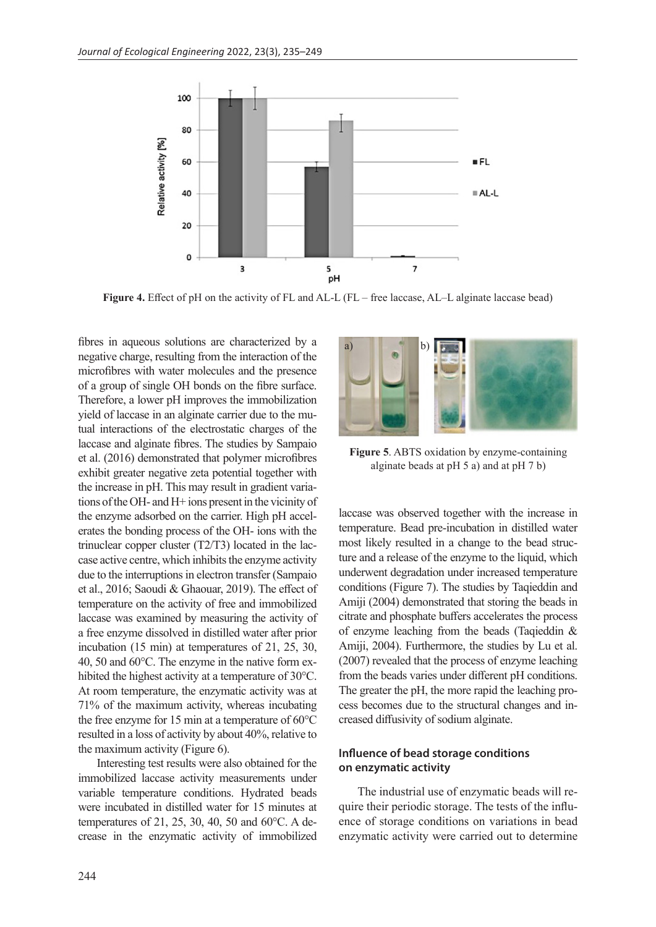

**Figure 4.** Effect of pH on the activity of FL and AL-L (FL – free laccase, AL–L alginate laccase bead)

fibres in aqueous solutions are characterized by a negative charge, resulting from the interaction of the microfibres with water molecules and the presence of a group of single OH bonds on the fibre surface. Therefore, a lower pH improves the immobilization yield of laccase in an alginate carrier due to the mutual interactions of the electrostatic charges of the laccase and alginate fibres. The studies by Sampaio et al. (2016) demonstrated that polymer microfibres exhibit greater negative zeta potential together with the increase in pH. This may result in gradient variations of the OH- and H+ ions present in the vicinity of the enzyme adsorbed on the carrier. High pH accelerates the bonding process of the OH- ions with the trinuclear copper cluster (T2/T3) located in the laccase active centre, which inhibits the enzyme activity due to the interruptions in electron transfer (Sampaio et al., 2016; Saoudi & Ghaouar, 2019). The effect of temperature on the activity of free and immobilized laccase was examined by measuring the activity of a free enzyme dissolved in distilled water after prior incubation (15 min) at temperatures of 21, 25, 30, 40, 50 and 60°C. The enzyme in the native form exhibited the highest activity at a temperature of 30°C. At room temperature, the enzymatic activity was at 71% of the maximum activity, whereas incubating the free enzyme for 15 min at a temperature of 60°C resulted in a loss of activity by about 40%, relative to the maximum activity (Figure 6).

Interesting test results were also obtained for the immobilized laccase activity measurements under variable temperature conditions. Hydrated beads were incubated in distilled water for 15 minutes at temperatures of 21, 25, 30, 40, 50 and 60°C. A decrease in the enzymatic activity of immobilized



**Figure 5**. ABTS oxidation by enzyme-containing alginate beads at pH 5 a) and at pH 7 b)

laccase was observed together with the increase in temperature. Bead pre-incubation in distilled water most likely resulted in a change to the bead structure and a release of the enzyme to the liquid, which underwent degradation under increased temperature conditions (Figure 7). The studies by Taqieddin and Amiji (2004) demonstrated that storing the beads in citrate and phosphate buffers accelerates the process of enzyme leaching from the beads (Taqieddin & Amiji, 2004). Furthermore, the studies by Lu et al. (2007) revealed that the process of enzyme leaching from the beads varies under different pH conditions. The greater the pH, the more rapid the leaching process becomes due to the structural changes and increased diffusivity of sodium alginate.

# **Influence of bead storage conditions on enzymatic activity**

The industrial use of enzymatic beads will require their periodic storage. The tests of the influence of storage conditions on variations in bead enzymatic activity were carried out to determine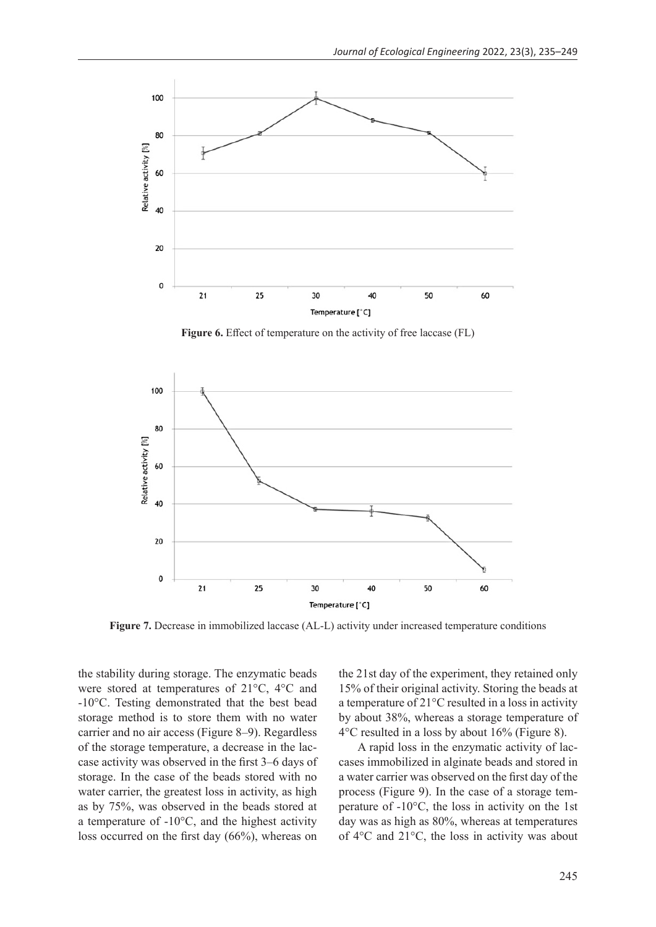

**Figure 6.** Effect of temperature on the activity of free laccase (FL)



**Figure 7.** Decrease in immobilized laccase (AL-L) activity under increased temperature conditions

the stability during storage. The enzymatic beads were stored at temperatures of 21°C, 4°C and -10°C. Testing demonstrated that the best bead storage method is to store them with no water carrier and no air access (Figure 8–9). Regardless of the storage temperature, a decrease in the laccase activity was observed in the first 3–6 days of storage. In the case of the beads stored with no water carrier, the greatest loss in activity, as high as by 75%, was observed in the beads stored at a temperature of -10°C, and the highest activity loss occurred on the first day (66%), whereas on

the 21st day of the experiment, they retained only 15% of their original activity. Storing the beads at a temperature of 21°C resulted in a loss in activity by about 38%, whereas a storage temperature of 4°C resulted in a loss by about 16% (Figure 8).

A rapid loss in the enzymatic activity of laccases immobilized in alginate beads and stored in a water carrier was observed on the first day of the process (Figure 9). In the case of a storage temperature of -10°C, the loss in activity on the 1st day was as high as 80%, whereas at temperatures of 4°C and 21°C, the loss in activity was about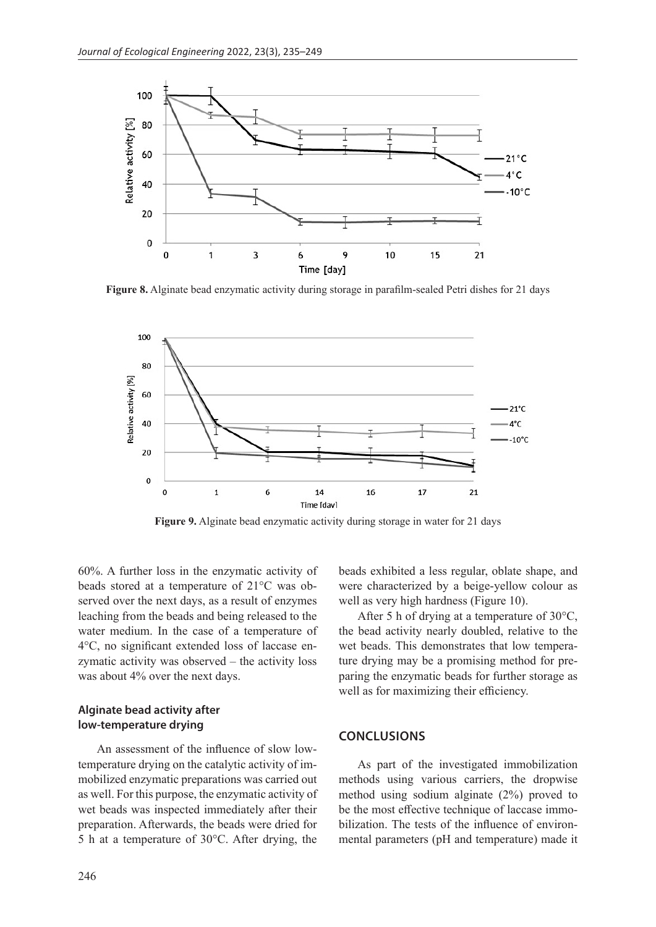

**Figure 8.** Alginate bead enzymatic activity during storage in parafilm-sealed Petri dishes for 21 days



**Figure 9.** Alginate bead enzymatic activity during storage in water for 21 days

60%. A further loss in the enzymatic activity of beads stored at a temperature of 21°C was observed over the next days, as a result of enzymes leaching from the beads and being released to the water medium. In the case of a temperature of 4°C, no significant extended loss of laccase enzymatic activity was observed – the activity loss was about 4% over the next days.

# **Alginate bead activity after low-temperature drying**

An assessment of the influence of slow lowtemperature drying on the catalytic activity of immobilized enzymatic preparations was carried out as well. For this purpose, the enzymatic activity of wet beads was inspected immediately after their preparation. Afterwards, the beads were dried for 5 h at a temperature of 30°C. After drying, the

beads exhibited a less regular, oblate shape, and were characterized by a beige-yellow colour as well as very high hardness (Figure 10).

After 5 h of drying at a temperature of 30°C, the bead activity nearly doubled, relative to the wet beads. This demonstrates that low temperature drying may be a promising method for preparing the enzymatic beads for further storage as well as for maximizing their efficiency.

#### **CONCLUSIONS**

As part of the investigated immobilization methods using various carriers, the dropwise method using sodium alginate (2%) proved to be the most effective technique of laccase immobilization. The tests of the influence of environmental parameters (pH and temperature) made it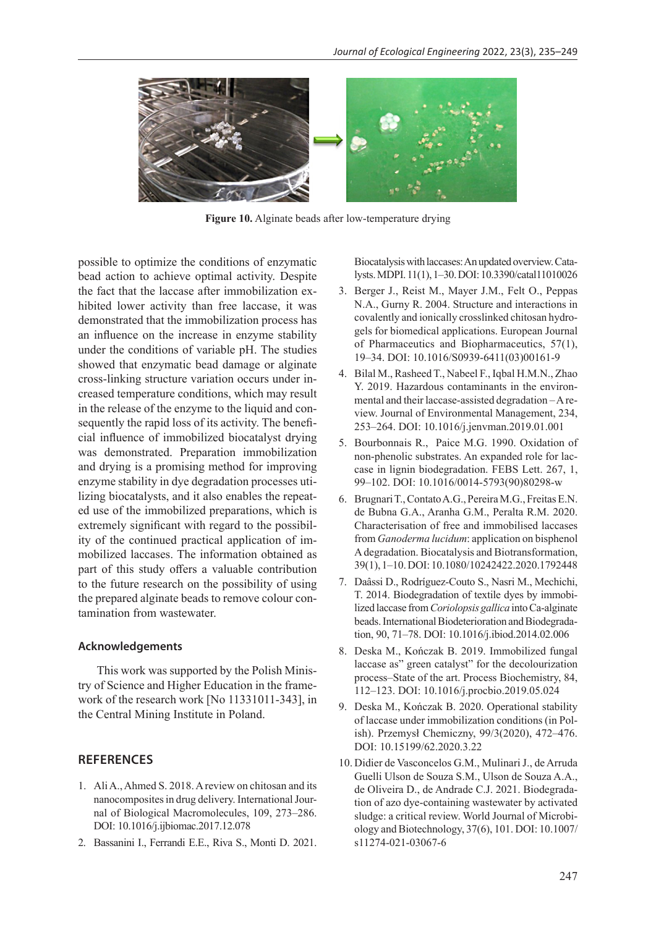

**Figure 10.** Alginate beads after low-temperature drying

possible to optimize the conditions of enzymatic bead action to achieve optimal activity. Despite the fact that the laccase after immobilization exhibited lower activity than free laccase, it was demonstrated that the immobilization process has an influence on the increase in enzyme stability under the conditions of variable pH. The studies showed that enzymatic bead damage or alginate cross-linking structure variation occurs under increased temperature conditions, which may result in the release of the enzyme to the liquid and consequently the rapid loss of its activity. The beneficial influence of immobilized biocatalyst drying was demonstrated. Preparation immobilization and drying is a promising method for improving enzyme stability in dye degradation processes utilizing biocatalysts, and it also enables the repeated use of the immobilized preparations, which is extremely significant with regard to the possibility of the continued practical application of immobilized laccases. The information obtained as part of this study offers a valuable contribution to the future research on the possibility of using the prepared alginate beads to remove colour contamination from wastewater.

#### **Acknowledgements**

This work was supported by the Polish Ministry of Science and Higher Education in the framework of the research work [No 11331011-343], in the Central Mining Institute in Poland.

## **REFERENCES**

- 1. Ali A., Ahmed S. 2018. A review on chitosan and its nanocomposites in drug delivery. International Journal of Biological Macromolecules, 109, 273–286. DOI: 10.1016/j.ijbiomac.2017.12.078
- 2. Bassanini I., Ferrandi E.E., Riva S., Monti D. 2021.

Biocatalysis with laccases: An updated overview. Catalysts. MDPI. 11(1), 1–30. DOI: 10.3390/catal11010026

- 3. Berger J., Reist M., Mayer J.M., Felt O., Peppas N.A., Gurny R. 2004. Structure and interactions in covalently and ionically crosslinked chitosan hydrogels for biomedical applications. European Journal of Pharmaceutics and Biopharmaceutics, 57(1), 19–34. DOI: 10.1016/S0939-6411(03)00161-9
- 4. Bilal M., Rasheed T., Nabeel F., Iqbal H.M.N., Zhao Y. 2019. Hazardous contaminants in the environmental and their laccase-assisted degradation – A review. Journal of Environmental Management, 234, 253–264. DOI: 10.1016/j.jenvman.2019.01.001
- 5. Bourbonnais R., Paice M.G. 1990. Oxidation of non-phenolic substrates. An expanded role for laccase in lignin biodegradation. FEBS Lett. 267, 1, 99–102. DOI: 10.1016/0014-5793(90)80298-w
- 6. Brugnari T., Contato A.G., Pereira M.G., Freitas E.N. de Bubna G.A., Aranha G.M., Peralta R.M. 2020. Characterisation of free and immobilised laccases from *Ganoderma lucidum*: application on bisphenol A degradation. Biocatalysis and Biotransformation, 39(1), 1–10. DOI: 10.1080/10242422.2020.1792448
- 7. Daâssi D., Rodríguez-Couto S., Nasri M., Mechichi, T. 2014. Biodegradation of textile dyes by immobilized laccase from *Coriolopsis gallica* into Ca-alginate beads. International Biodeterioration and Biodegradation, 90, 71–78. DOI: 10.1016/j.ibiod.2014.02.006
- 8. Deska M., Kończak B. 2019. Immobilized fungal laccase as" green catalyst" for the decolourization process–State of the art. Process Biochemistry, 84, 112–123. DOI: 10.1016/j.procbio.2019.05.024
- 9. Deska M., Kończak B. 2020. Operational stability of laccase under immobilization conditions (in Polish). Przemysł Chemiczny, 99/3(2020), 472–476. DOI: 10.15199/62.2020.3.22
- 10. Didier de Vasconcelos G.M., Mulinari J., de Arruda Guelli Ulson de Souza S.M., Ulson de Souza A.A., de Oliveira D., de Andrade C.J. 2021. Biodegradation of azo dye-containing wastewater by activated sludge: a critical review. World Journal of Microbiology and Biotechnology, 37(6), 101. DOI: 10.1007/ s11274-021-03067-6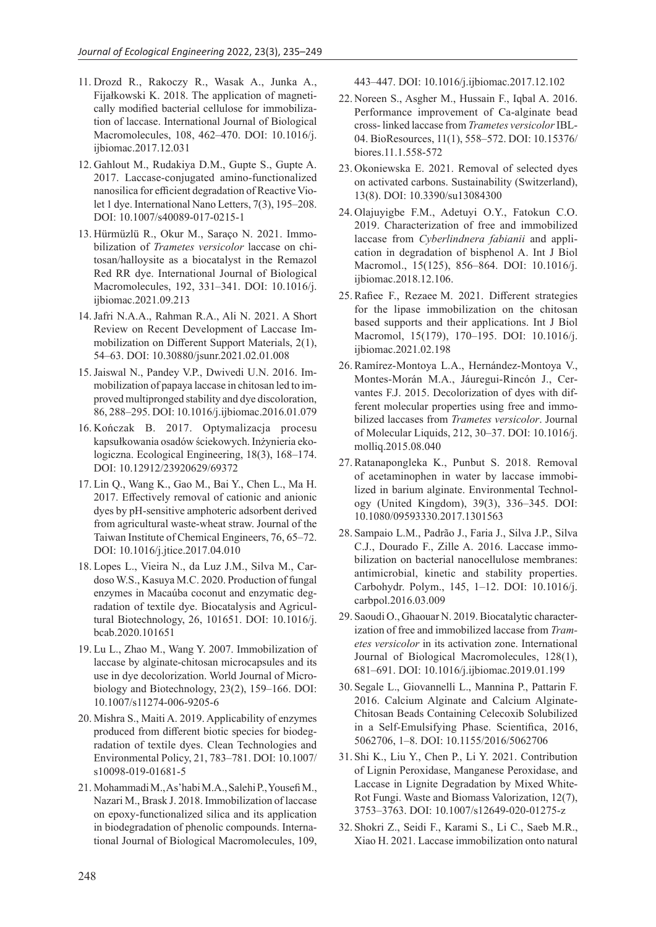- 11. Drozd R., Rakoczy R., Wasak A., Junka A., Fijałkowski K. 2018. The application of magnetically modified bacterial cellulose for immobilization of laccase. International Journal of Biological Macromolecules, 108, 462–470. DOI: 10.1016/j. ijbiomac.2017.12.031
- 12. Gahlout M., Rudakiya D.M., Gupte S., Gupte A. 2017. Laccase-conjugated amino-functionalized nanosilica for efficient degradation of Reactive Violet 1 dye. International Nano Letters, 7(3), 195–208. DOI: 10.1007/s40089-017-0215-1
- 13. Hürmüzlü R., Okur M., Saraço N. 2021. Immobilization of *Trametes versicolor* laccase on chitosan/halloysite as a biocatalyst in the Remazol Red RR dye. International Journal of Biological Macromolecules, 192, 331–341. DOI: 10.1016/j. ijbiomac.2021.09.213
- 14.Jafri N.A.A., Rahman R.A., Ali N. 2021. A Short Review on Recent Development of Laccase Immobilization on Different Support Materials, 2(1), 54–63. DOI: 10.30880/jsunr.2021.02.01.008
- 15.Jaiswal N., Pandey V.P., Dwivedi U.N. 2016. Immobilization of papaya laccase in chitosan led to improved multipronged stability and dye discoloration, 86, 288–295. DOI: 10.1016/j.ijbiomac.2016.01.079
- 16. Kończak B. 2017. Optymalizacja procesu kapsułkowania osadów ściekowych. Inżynieria ekologiczna. Ecological Engineering, 18(3), 168–174. DOI: 10.12912/23920629/69372
- 17. Lin Q., Wang K., Gao M., Bai Y., Chen L., Ma H. 2017. Effectively removal of cationic and anionic dyes by pH-sensitive amphoteric adsorbent derived from agricultural waste-wheat straw. Journal of the Taiwan Institute of Chemical Engineers, 76, 65–72. DOI: 10.1016/j.jtice.2017.04.010
- 18. Lopes L., Vieira N., da Luz J.M., Silva M., Cardoso W.S., Kasuya M.C. 2020. Production of fungal enzymes in Macaúba coconut and enzymatic degradation of textile dye. Biocatalysis and Agricultural Biotechnology, 26, 101651. DOI: 10.1016/j. bcab.2020.101651
- 19. Lu L., Zhao M., Wang Y. 2007. Immobilization of laccase by alginate-chitosan microcapsules and its use in dye decolorization. World Journal of Microbiology and Biotechnology, 23(2), 159–166. DOI: 10.1007/s11274-006-9205-6
- 20. Mishra S., Maiti A. 2019. Applicability of enzymes produced from different biotic species for biodegradation of textile dyes. Clean Technologies and Environmental Policy, 21, 783–781. DOI: 10.1007/ s10098-019-01681-5
- 21. Mohammadi M., As'habi M.A., Salehi P., Yousefi M., Nazari M., Brask J. 2018. Immobilization of laccase on epoxy-functionalized silica and its application in biodegradation of phenolic compounds. International Journal of Biological Macromolecules, 109,

443–447. DOI: 10.1016/j.ijbiomac.2017.12.102

- 22. Noreen S., Asgher M., Hussain F., Iqbal A. 2016. Performance improvement of Ca-alginate bead cross- linked laccase from *Trametes versicolor* IBL-04. BioResources, 11(1), 558–572. DOI: 10.15376/ biores.11.1.558-572
- 23. Okoniewska E. 2021. Removal of selected dyes on activated carbons. Sustainability (Switzerland), 13(8). DOI: 10.3390/su13084300
- 24. Olajuyigbe F.M., Adetuyi O.Y., Fatokun C.O. 2019. Characterization of free and immobilized laccase from *Cyberlindnera fabianii* and application in degradation of bisphenol A. Int J Biol Macromol., 15(125), 856–864. DOI: 10.1016/j. ijbiomac.2018.12.106.
- 25.Rafiee F., Rezaee M. 2021. Different strategies for the lipase immobilization on the chitosan based supports and their applications. Int J Biol Macromol, 15(179), 170–195. DOI: 10.1016/j. ijbiomac.2021.02.198
- 26.Ramírez-Montoya L.A., Hernández-Montoya V., Montes-Morán M.A., Jáuregui-Rincón J., Cervantes F.J. 2015. Decolorization of dyes with different molecular properties using free and immobilized laccases from *Trametes versicolor*. Journal of Molecular Liquids, 212, 30–37. DOI: 10.1016/j. molliq.2015.08.040
- 27.Ratanapongleka K., Punbut S. 2018. Removal of acetaminophen in water by laccase immobilized in barium alginate. Environmental Technology (United Kingdom), 39(3), 336–345. DOI: 10.1080/09593330.2017.1301563
- 28. Sampaio L.M., Padrão J., Faria J., Silva J.P., Silva C.J., Dourado F., Zille A. 2016. Laccase immobilization on bacterial nanocellulose membranes: antimicrobial, kinetic and stability properties. Carbohydr. Polym., 145, 1–12. DOI: 10.1016/j. carbpol.2016.03.009
- 29. Saoudi O., Ghaouar N. 2019. Biocatalytic characterization of free and immobilized laccase from *Trametes versicolor* in its activation zone. International Journal of Biological Macromolecules, 128(1), 681–691. DOI: 10.1016/j.ijbiomac.2019.01.199
- 30. Segale L., Giovannelli L., Mannina P., Pattarin F. 2016. Calcium Alginate and Calcium Alginate-Chitosan Beads Containing Celecoxib Solubilized in a Self-Emulsifying Phase. Scientifica, 2016, 5062706, 1–8. DOI: 10.1155/2016/5062706
- 31. Shi K., Liu Y., Chen P., Li Y. 2021. Contribution of Lignin Peroxidase, Manganese Peroxidase, and Laccase in Lignite Degradation by Mixed White-Rot Fungi. Waste and Biomass Valorization, 12(7), 3753–3763. DOI: 10.1007/s12649-020-01275-z
- 32. Shokri Z., Seidi F., Karami S., Li C., Saeb M.R., Xiao H. 2021. Laccase immobilization onto natural